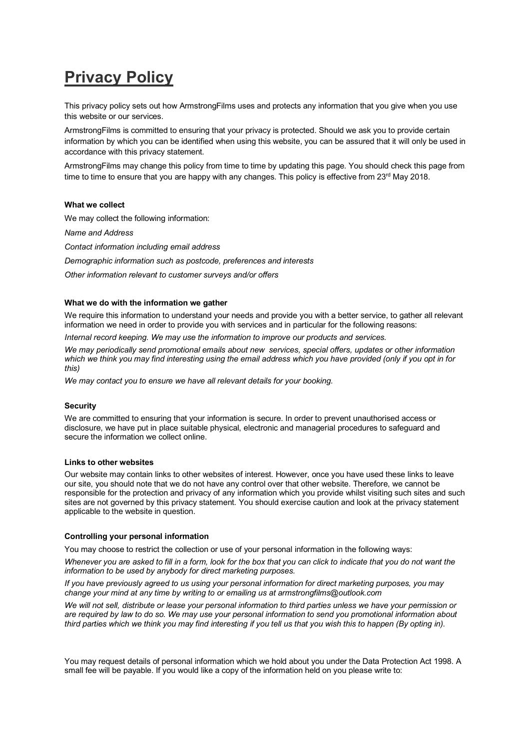# **Privacy Policy**

This privacy policy sets out how ArmstrongFilms uses and protects any information that you give when you use this website or our services.

ArmstrongFilms is committed to ensuring that your privacy is protected. Should we ask you to provide certain information by which you can be identified when using this website, you can be assured that it will only be used in accordance with this privacy statement.

ArmstrongFilms may change this policy from time to time by updating this page. You should check this page from time to time to ensure that you are happy with any changes. This policy is effective from 23<sup>rd</sup> May 2018.

# **What we collect**

We may collect the following information:

*Name and Address*

*Contact information including email address*

*Demographic information such as postcode, preferences and interests*

*Other information relevant to customer surveys and/or offers*

### **What we do with the information we gather**

We require this information to understand your needs and provide you with a better service, to gather all relevant information we need in order to provide you with services and in particular for the following reasons:

*Internal record keeping. We may use the information to improve our products and services.*

*We may periodically send promotional emails about new services, special offers, updates or other information which we think you may find interesting using the email address which you have provided (only if you opt in for this)*

*We may contact you to ensure we have all relevant details for your booking.*

# **Security**

We are committed to ensuring that your information is secure. In order to prevent unauthorised access or disclosure, we have put in place suitable physical, electronic and managerial procedures to safeguard and secure the information we collect online.

### **Links to other websites**

Our website may contain links to other websites of interest. However, once you have used these links to leave our site, you should note that we do not have any control over that other website. Therefore, we cannot be responsible for the protection and privacy of any information which you provide whilst visiting such sites and such sites are not governed by this privacy statement. You should exercise caution and look at the privacy statement applicable to the website in question.

### **Controlling your personal information**

You may choose to restrict the collection or use of your personal information in the following ways:

*Whenever you are asked to fill in a form, look for the box that you can click to indicate that you do not want the information to be used by anybody for direct marketing purposes.*

*If you have previously agreed to us using your personal information for direct marketing purposes, you may change your mind at any time by writing to or emailing us at armstrongfilms@outlook.com*

*We will not sell, distribute or lease your personal information to third parties unless we have your permission or are required by law to do so. We may use your personal information to send you promotional information about third parties which we think you may find interesting if you tell us that you wish this to happen (By opting in).*

You may request details of personal information which we hold about you under the Data Protection Act 1998. A small fee will be payable. If you would like a copy of the information held on you please write to: